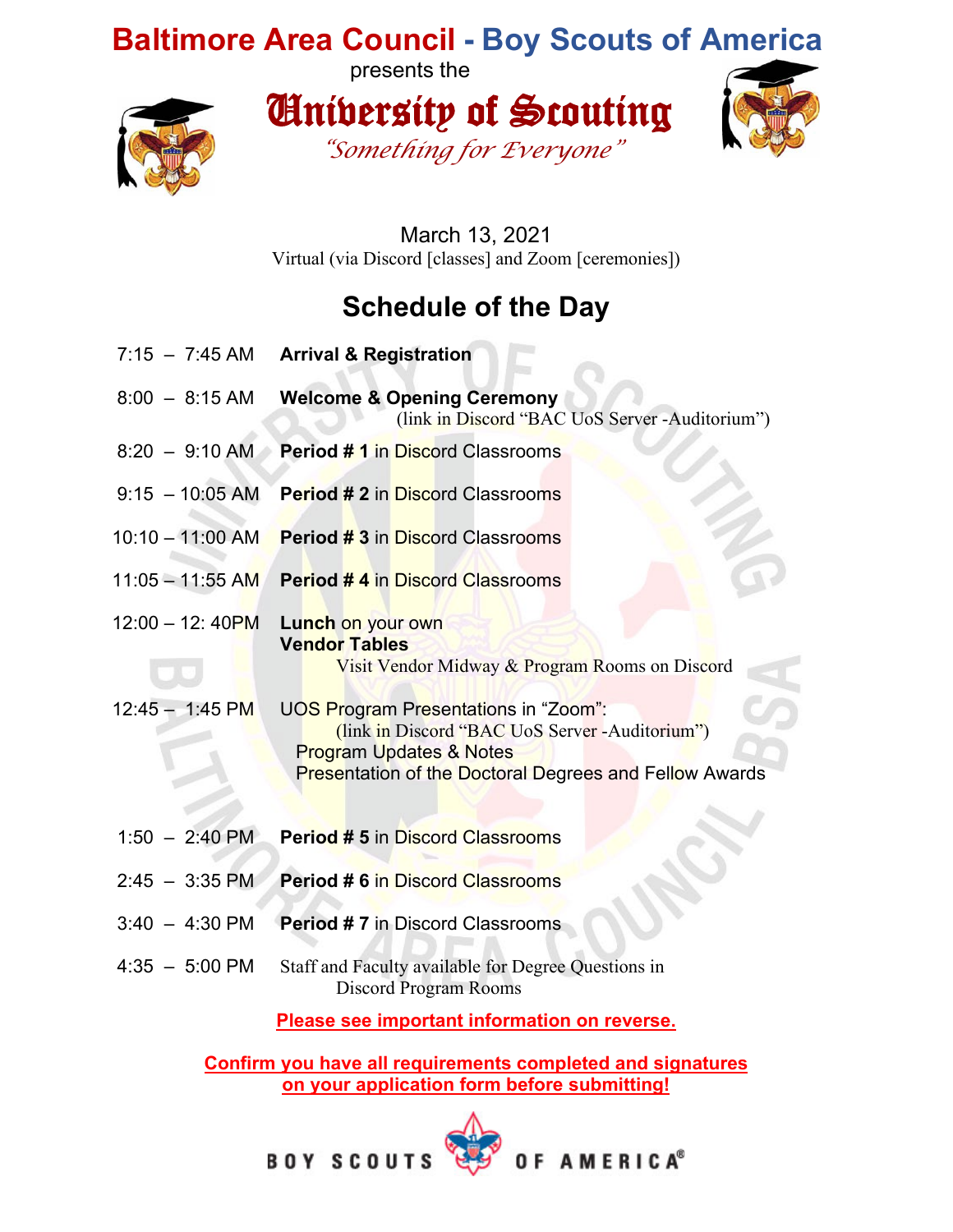## **Baltimore Area Council - Boy Scouts of America**

presents the



University of Scouting *"Something for Everyone"*



March 13, 2021 Virtual (via Discord [classes] and Zoom [ceremonies])

## **Schedule of the Day**

- 7:15 7:45 AM **Arrival & Registration**
- 8:00 8:15 AM **Welcome & Opening Ceremony** (link in Discord "BAC UoS Server -Auditorium")
- 8:20 9:10 AM **Period # 1** in Discord Classrooms
- 9:15 10:05 AM **Period # 2** in Discord Classrooms
- 10:10 11:00 AM **Period # 3** in Discord Classrooms
- 11:05 11:55 AM **Period # 4** in Discord Classrooms

12:00 – 12: 40PM **Lunch** on your own **Vendor Tables** Visit Vendor Midway & Program Rooms on Discord

- 12:45 1:45 PM UOS Program Presentations in "Zoom": (link in Discord "BAC UoS Server -Auditorium") Program Updates & Notes Presentation of the Doctoral Degrees and Fellow Awards
- 1:50 2:40 PM **Period # 5** in Discord Classrooms
- 2:45 3:35 PM **Period # 6** in Discord Classrooms
- 3:40 4:30 PM **Period # 7** in Discord Classrooms
- 4:35 5:00 PM Staff and Faculty available for Degree Questions in Discord Program Rooms

**Please see important information on reverse.**

**Confirm you have all requirements completed and signatures on your application form before submitting!**